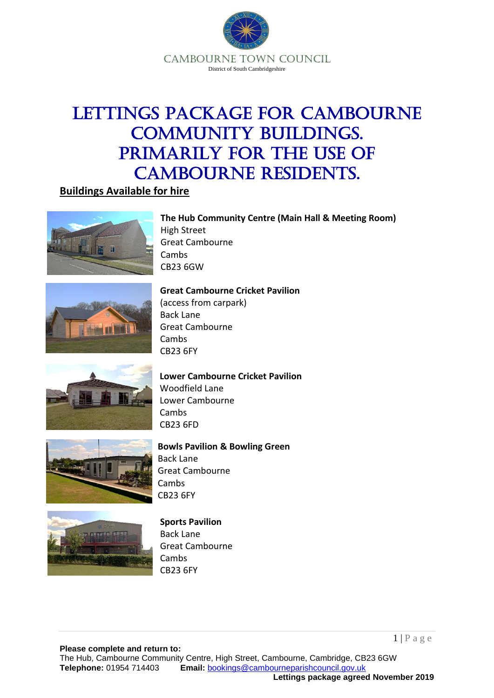

# Lettings Package for Cambourne COMMUNITY BUILDINGS. Primarily for the use of Cambourne residents.

**The Hub Community Centre (Main Hall & Meeting Room)**

**Buildings Available for hire**





# **Great Cambourne Cricket Pavilion**

(access from carpark) Back Lane Great Cambourne Cambs CB23 6FY

High Street

Cambs CB23 6GW

Great Cambourne



#### **Lower Cambourne Cricket Pavilion** Woodfield Lane Lower Cambourne Cambs CB23 6FD



#### **Bowls Pavilion & Bowling Green** Back Lane Great Cambourne **Cambs** CB23 6FY



# **Sports Pavilion**

Back Lane Great Cambourne Cambs CB23 6FY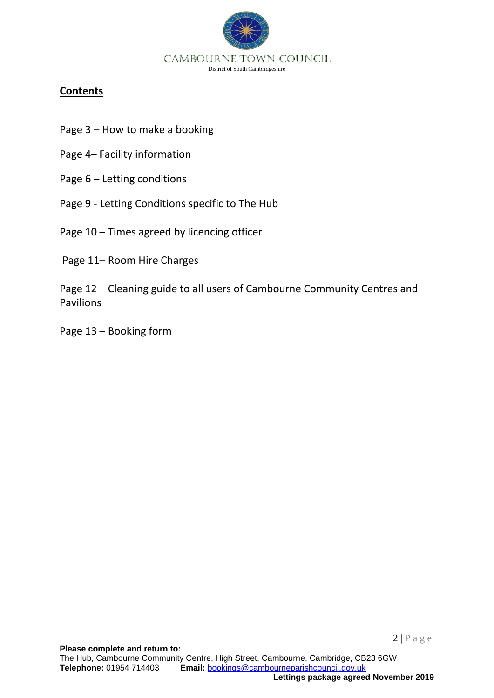

## **Contents**

- Page 3 How to make a booking
- Page 4– Facility information
- Page 6 Letting conditions
- Page 9 Letting Conditions specific to The Hub
- Page 10 Times agreed by licencing officer
- Page 11– Room Hire Charges
- Page 12 Cleaning guide to all users of Cambourne Community Centres and Pavilions
- Page 13 Booking form

 $2 | P \text{ a } g \text{ e}$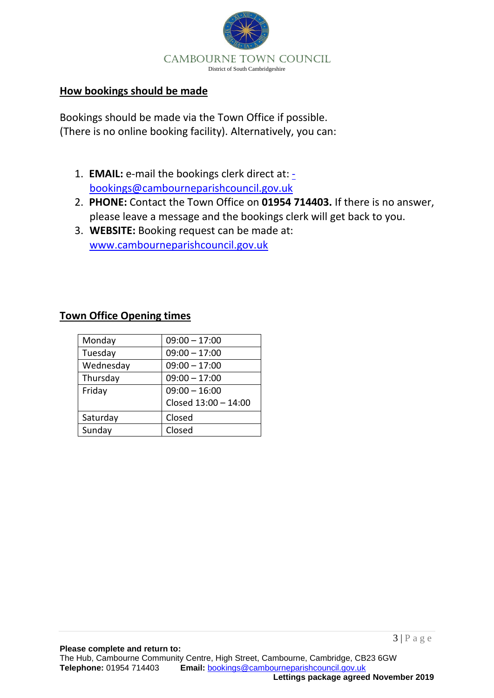

### **How bookings should be made**

Bookings should be made via the Town Office if possible. (There is no online booking facility). Alternatively, you can:

- 1. **EMAIL:** e-mail the bookings clerk direct at: [bookings@cambourneparishcouncil.gov.uk](mailto:-bookings@cambourneparishcouncil.gov.uk)
- 2. **PHONE:** Contact the Town Office on **01954 714403.** If there is no answer, please leave a message and the bookings clerk will get back to you.
- 3. **WEBSITE:** Booking request can be made at: [www.cambourneparishcouncil.gov.uk](http://www.cambourneparishcouncil.gov.uk/)

## **Town Office Opening times**

| Monday    | $09:00 - 17:00$      |
|-----------|----------------------|
| Tuesday   | $09:00 - 17:00$      |
| Wednesday | $09:00 - 17:00$      |
| Thursday  | $09:00 - 17:00$      |
| Friday    | $09:00 - 16:00$      |
|           | Closed 13:00 - 14:00 |
| Saturday  | Closed               |
| Sunday    | Closed               |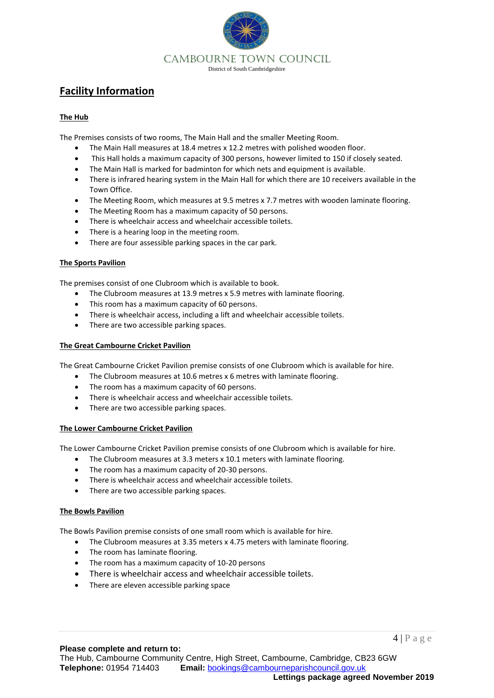

## **Facility Information**

#### **The Hub**

The Premises consists of two rooms, The Main Hall and the smaller Meeting Room.

- The Main Hall measures at 18.4 metres x 12.2 metres with polished wooden floor.
- This Hall holds a maximum capacity of 300 persons, however limited to 150 if closely seated.
- The Main Hall is marked for badminton for which nets and equipment is available.
- There is infrared hearing system in the Main Hall for which there are 10 receivers available in the Town Office.
- The Meeting Room, which measures at 9.5 metres x 7.7 metres with wooden laminate flooring.
- The Meeting Room has a maximum capacity of 50 persons.
- There is wheelchair access and wheelchair accessible toilets.
- There is a hearing loop in the meeting room.
- There are four assessible parking spaces in the car park.

#### **The Sports Pavilion**

The premises consist of one Clubroom which is available to book.

- The Clubroom measures at 13.9 metres x 5.9 metres with laminate flooring.
- This room has a maximum capacity of 60 persons.
- There is wheelchair access, including a lift and wheelchair accessible toilets.
- There are two accessible parking spaces.

#### **The Great Cambourne Cricket Pavilion**

The Great Cambourne Cricket Pavilion premise consists of one Clubroom which is available for hire.

- The Clubroom measures at 10.6 metres x 6 metres with laminate flooring.
- The room has a maximum capacity of 60 persons.
- There is wheelchair access and wheelchair accessible toilets.
- There are two accessible parking spaces.

#### **The Lower Cambourne Cricket Pavilion**

The Lower Cambourne Cricket Pavilion premise consists of one Clubroom which is available for hire.

- The Clubroom measures at 3.3 meters x 10.1 meters with laminate flooring.
- The room has a maximum capacity of 20-30 persons.
- There is wheelchair access and wheelchair accessible toilets.
- There are two accessible parking spaces.

#### **The Bowls Pavilion**

The Bowls Pavilion premise consists of one small room which is available for hire.

- The Clubroom measures at 3.35 meters x 4.75 meters with laminate flooring.
- The room has laminate flooring.
- The room has a maximum capacity of 10-20 persons
- There is wheelchair access and wheelchair accessible toilets.
- There are eleven accessible parking space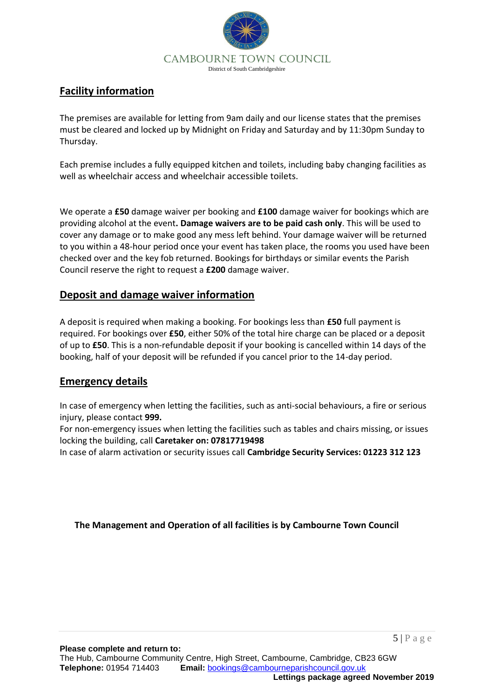

## **Facility information**

The premises are available for letting from 9am daily and our license states that the premises must be cleared and locked up by Midnight on Friday and Saturday and by 11:30pm Sunday to Thursday.

Each premise includes a fully equipped kitchen and toilets, including baby changing facilities as well as wheelchair access and wheelchair accessible toilets.

We operate a **£50** damage waiver per booking and **£100** damage waiver for bookings which are providing alcohol at the event**. Damage waivers are to be paid cash only**. This will be used to cover any damage or to make good any mess left behind. Your damage waiver will be returned to you within a 48-hour period once your event has taken place, the rooms you used have been checked over and the key fob returned. Bookings for birthdays or similar events the Parish Council reserve the right to request a **£200** damage waiver.

### **Deposit and damage waiver information**

A deposit is required when making a booking. For bookings less than **£50** full payment is required. For bookings over **£50**, either 50% of the total hire charge can be placed or a deposit of up to **£50**. This is a non-refundable deposit if your booking is cancelled within 14 days of the booking, half of your deposit will be refunded if you cancel prior to the 14-day period.

### **Emergency details**

In case of emergency when letting the facilities, such as anti-social behaviours, a fire or serious injury, please contact **999.**

For non-emergency issues when letting the facilities such as tables and chairs missing, or issues locking the building, call **Caretaker on: 07817719498**

In case of alarm activation or security issues call **Cambridge Security Services: 01223 312 123**

**The Management and Operation of all facilities is by Cambourne Town Council**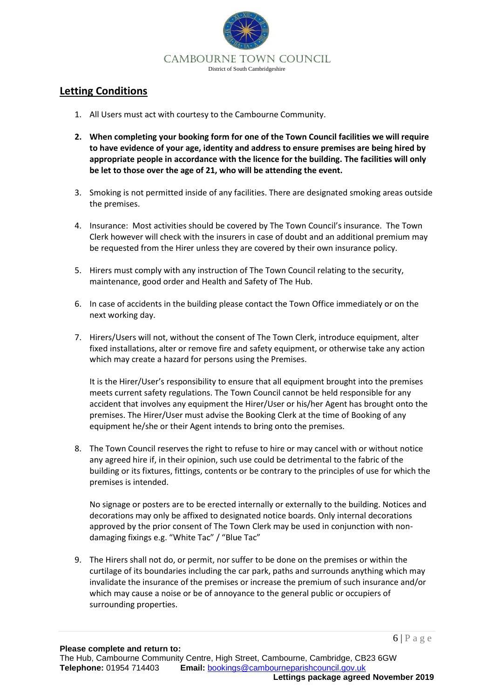

## **Letting Conditions**

- 1. All Users must act with courtesy to the Cambourne Community.
- **2. When completing your booking form for one of the Town Council facilities we will require to have evidence of your age, identity and address to ensure premises are being hired by appropriate people in accordance with the licence for the building. The facilities will only be let to those over the age of 21, who will be attending the event.**
- 3. Smoking is not permitted inside of any facilities. There are designated smoking areas outside the premises.
- 4. Insurance: Most activities should be covered by The Town Council's insurance. The Town Clerk however will check with the insurers in case of doubt and an additional premium may be requested from the Hirer unless they are covered by their own insurance policy.
- 5. Hirers must comply with any instruction of The Town Council relating to the security, maintenance, good order and Health and Safety of The Hub.
- 6. In case of accidents in the building please contact the Town Office immediately or on the next working day.
- 7. Hirers/Users will not, without the consent of The Town Clerk, introduce equipment, alter fixed installations, alter or remove fire and safety equipment, or otherwise take any action which may create a hazard for persons using the Premises.

It is the Hirer/User's responsibility to ensure that all equipment brought into the premises meets current safety regulations. The Town Council cannot be held responsible for any accident that involves any equipment the Hirer/User or his/her Agent has brought onto the premises. The Hirer/User must advise the Booking Clerk at the time of Booking of any equipment he/she or their Agent intends to bring onto the premises.

8. The Town Council reserves the right to refuse to hire or may cancel with or without notice any agreed hire if, in their opinion, such use could be detrimental to the fabric of the building or its fixtures, fittings, contents or be contrary to the principles of use for which the premises is intended.

No signage or posters are to be erected internally or externally to the building. Notices and decorations may only be affixed to designated notice boards. Only internal decorations approved by the prior consent of The Town Clerk may be used in conjunction with nondamaging fixings e.g. "White Tac" / "Blue Tac"

9. The Hirers shall not do, or permit, nor suffer to be done on the premises or within the curtilage of its boundaries including the car park, paths and surrounds anything which may invalidate the insurance of the premises or increase the premium of such insurance and/or which may cause a noise or be of annoyance to the general public or occupiers of surrounding properties.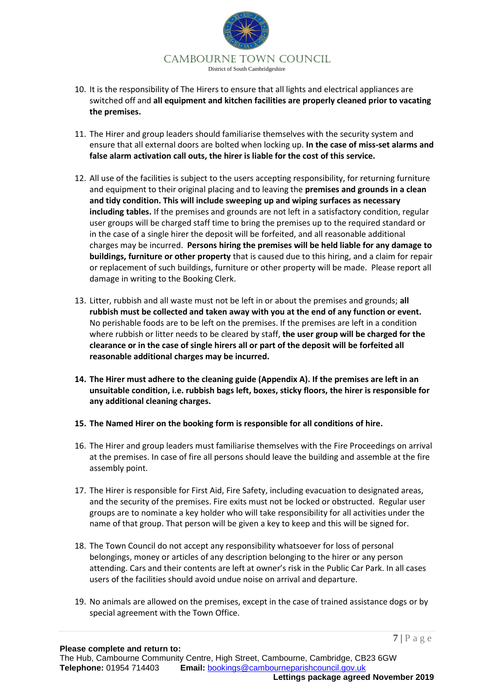

- 10. It is the responsibility of The Hirers to ensure that all lights and electrical appliances are switched off and **all equipment and kitchen facilities are properly cleaned prior to vacating the premises.**
- 11. The Hirer and group leaders should familiarise themselves with the security system and ensure that all external doors are bolted when locking up. **In the case of miss-set alarms and false alarm activation call outs, the hirer is liable for the cost of this service.**
- 12. All use of the facilities is subject to the users accepting responsibility, for returning furniture and equipment to their original placing and to leaving the **premises and grounds in a clean and tidy condition. This will include sweeping up and wiping surfaces as necessary including tables.** If the premises and grounds are not left in a satisfactory condition, regular user groups will be charged staff time to bring the premises up to the required standard or in the case of a single hirer the deposit will be forfeited, and all reasonable additional charges may be incurred. **Persons hiring the premises will be held liable for any damage to buildings, furniture or other property** that is caused due to this hiring, and a claim for repair or replacement of such buildings, furniture or other property will be made. Please report all damage in writing to the Booking Clerk.
- 13. Litter, rubbish and all waste must not be left in or about the premises and grounds; **all rubbish must be collected and taken away with you at the end of any function or event.** No perishable foods are to be left on the premises. If the premises are left in a condition where rubbish or litter needs to be cleared by staff, **the user group will be charged for the clearance or in the case of single hirers all or part of the deposit will be forfeited all reasonable additional charges may be incurred.**
- **14. The Hirer must adhere to the cleaning guide (Appendix A). If the premises are left in an unsuitable condition, i.e. rubbish bags left, boxes, sticky floors, the hirer is responsible for any additional cleaning charges.**
- **15. The Named Hirer on the booking form is responsible for all conditions of hire.**
- 16. The Hirer and group leaders must familiarise themselves with the Fire Proceedings on arrival at the premises. In case of fire all persons should leave the building and assemble at the fire assembly point.
- 17. The Hirer is responsible for First Aid, Fire Safety, including evacuation to designated areas, and the security of the premises. Fire exits must not be locked or obstructed. Regular user groups are to nominate a key holder who will take responsibility for all activities under the name of that group. That person will be given a key to keep and this will be signed for.
- 18. The Town Council do not accept any responsibility whatsoever for loss of personal belongings, money or articles of any description belonging to the hirer or any person attending. Cars and their contents are left at owner's risk in the Public Car Park. In all cases users of the facilities should avoid undue noise on arrival and departure.
- 19. No animals are allowed on the premises, except in the case of trained assistance dogs or by special agreement with the Town Office.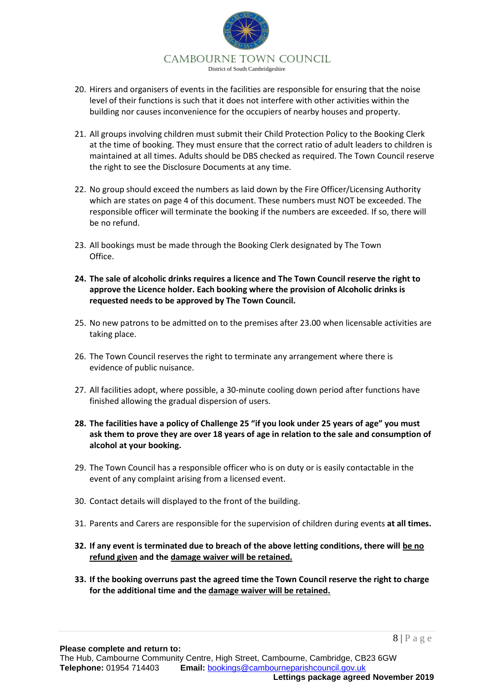

- 20. Hirers and organisers of events in the facilities are responsible for ensuring that the noise level of their functions is such that it does not interfere with other activities within the building nor causes inconvenience for the occupiers of nearby houses and property.
- 21. All groups involving children must submit their Child Protection Policy to the Booking Clerk at the time of booking. They must ensure that the correct ratio of adult leaders to children is maintained at all times. Adults should be DBS checked as required. The Town Council reserve the right to see the Disclosure Documents at any time.
- 22. No group should exceed the numbers as laid down by the Fire Officer/Licensing Authority which are states on page 4 of this document. These numbers must NOT be exceeded. The responsible officer will terminate the booking if the numbers are exceeded. If so, there will be no refund.
- 23. All bookings must be made through the Booking Clerk designated by The Town Office.
- **24. The sale of alcoholic drinks requires a licence and The Town Council reserve the right to approve the Licence holder. Each booking where the provision of Alcoholic drinks is requested needs to be approved by The Town Council.**
- 25. No new patrons to be admitted on to the premises after 23.00 when licensable activities are taking place.
- 26. The Town Council reserves the right to terminate any arrangement where there is evidence of public nuisance.
- 27. All facilities adopt, where possible, a 30-minute cooling down period after functions have finished allowing the gradual dispersion of users.
- **28. The facilities have a policy of Challenge 25 "if you look under 25 years of age" you must ask them to prove they are over 18 years of age in relation to the sale and consumption of alcohol at your booking.**
- 29. The Town Council has a responsible officer who is on duty or is easily contactable in the event of any complaint arising from a licensed event.
- 30. Contact details will displayed to the front of the building.
- 31. Parents and Carers are responsible for the supervision of children during events **at all times.**
- **32. If any event is terminated due to breach of the above letting conditions, there will be no refund given and the damage waiver will be retained.**
- **33. If the booking overruns past the agreed time the Town Council reserve the right to charge for the additional time and the damage waiver will be retained.**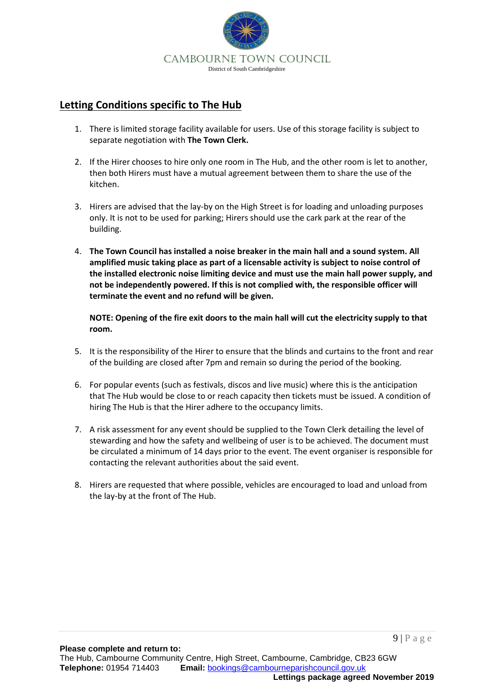

## **Letting Conditions specific to The Hub**

- 1. There is limited storage facility available for users. Use of this storage facility is subject to separate negotiation with **The Town Clerk.**
- 2. If the Hirer chooses to hire only one room in The Hub, and the other room is let to another, then both Hirers must have a mutual agreement between them to share the use of the kitchen.
- 3. Hirers are advised that the lay-by on the High Street is for loading and unloading purposes only. It is not to be used for parking; Hirers should use the cark park at the rear of the building.
- 4. **The Town Council has installed a noise breaker in the main hall and a sound system. All amplified music taking place as part of a licensable activity is subject to noise control of the installed electronic noise limiting device and must use the main hall power supply, and not be independently powered. If this is not complied with, the responsible officer will terminate the event and no refund will be given.**

**NOTE: Opening of the fire exit doors to the main hall will cut the electricity supply to that room.**

- 5. It is the responsibility of the Hirer to ensure that the blinds and curtains to the front and rear of the building are closed after 7pm and remain so during the period of the booking.
- 6. For popular events (such as festivals, discos and live music) where this is the anticipation that The Hub would be close to or reach capacity then tickets must be issued. A condition of hiring The Hub is that the Hirer adhere to the occupancy limits.
- 7. A risk assessment for any event should be supplied to the Town Clerk detailing the level of stewarding and how the safety and wellbeing of user is to be achieved. The document must be circulated a minimum of 14 days prior to the event. The event organiser is responsible for contacting the relevant authorities about the said event.
- 8. Hirers are requested that where possible, vehicles are encouraged to load and unload from the lay-by at the front of The Hub.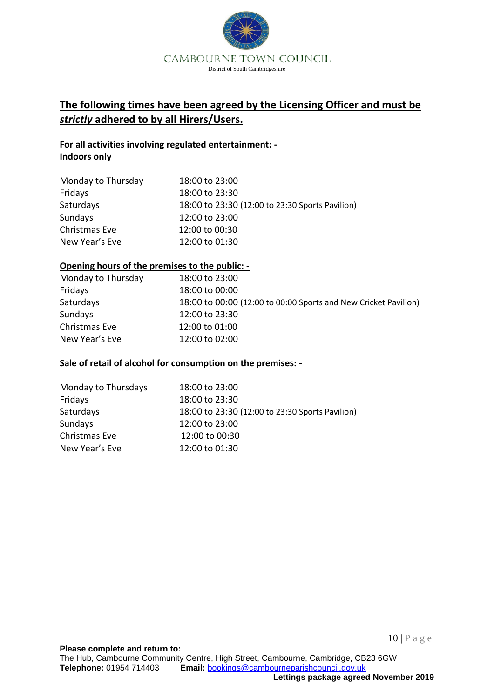

# **The following times have been agreed by the Licensing Officer and must be**  *strictly* **adhered to by all Hirers/Users.**

#### **For all activities involving regulated entertainment: - Indoors only**

| Monday to Thursday | 18:00 to 23:00                                  |
|--------------------|-------------------------------------------------|
| Fridays            | 18:00 to 23:30                                  |
| Saturdays          | 18:00 to 23:30 (12:00 to 23:30 Sports Pavilion) |
| Sundays            | 12:00 to 23:00                                  |
| Christmas Eve      | 12:00 to 00:30                                  |
| New Year's Eve     | 12:00 to 01:30                                  |

#### **Opening hours of the premises to the public: -**

| Monday to Thursday | 18:00 to 23:00                                                  |
|--------------------|-----------------------------------------------------------------|
| Fridays            | 18:00 to 00:00                                                  |
| Saturdays          | 18:00 to 00:00 (12:00 to 00:00 Sports and New Cricket Pavilion) |
| Sundays            | 12:00 to 23:30                                                  |
| Christmas Eve      | 12:00 to 01:00                                                  |
| New Year's Eve     | 12:00 to 02:00                                                  |

#### **Sale of retail of alcohol for consumption on the premises: -**

| Monday to Thursdays | 18:00 to 23:00                                  |
|---------------------|-------------------------------------------------|
| Fridays             | 18:00 to 23:30                                  |
| Saturdays           | 18:00 to 23:30 (12:00 to 23:30 Sports Pavilion) |
| Sundays             | 12:00 to 23:00                                  |
| Christmas Eve       | 12:00 to 00:30                                  |
| New Year's Eve      | 12:00 to 01:30                                  |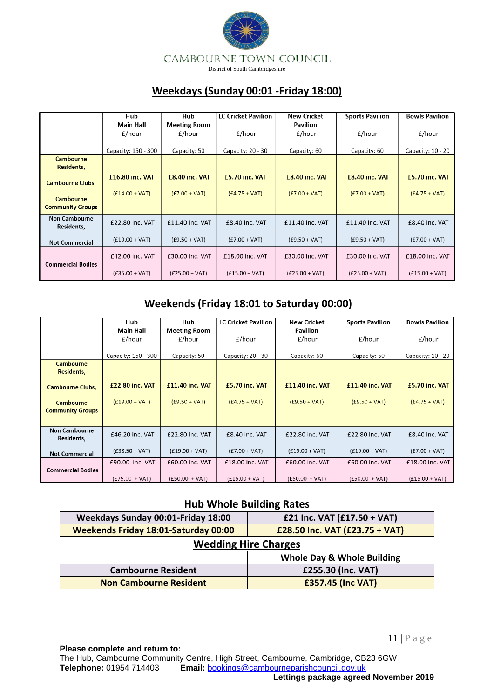

# **Weekdays (Sunday 00:01 -Friday 18:00)**

|                                    | Hub                 | Hub                   | <b>LC Cricket Pavilion</b> | <b>New Cricket</b> | <b>Sports Pavilion</b> | <b>Bowls Pavilion</b> |
|------------------------------------|---------------------|-----------------------|----------------------------|--------------------|------------------------|-----------------------|
|                                    | <b>Main Hall</b>    | <b>Meeting Room</b>   |                            | <b>Pavilion</b>    |                        |                       |
|                                    | £/hour              | £/hour                | £/hour                     | £/hour             | £/hour                 | £/hour                |
|                                    |                     |                       |                            |                    |                        |                       |
|                                    | Capacity: 150 - 300 | Capacity: 50          | Capacity: 20 - 30          | Capacity: 60       | Capacity: 60           | Capacity: 10 - 20     |
| <b>Cambourne</b><br>Residents,     |                     |                       |                            |                    |                        |                       |
| <b>Cambourne Clubs,</b>            | £16.80 inc. VAT     | <b>£8.40 inc. VAT</b> | £5.70 inc. VAT             | £8.40 inc. VAT     | £8.40 inc. VAT         | £5.70 inc. VAT        |
| <b>Cambourne</b>                   | $(E14.00 + VAT)$    | $(E7.00 + VAT)$       | $(E4.75 + VAT)$            | $(E7.00 + VAT)$    | $(E7.00 + VAT)$        | $(E4.75 + VAT)$       |
| <b>Community Groups</b>            |                     |                       |                            |                    |                        |                       |
| <b>Non Cambourne</b><br>Residents, | £22.80 inc. VAT     | $£11.40$ inc. VAT     | $£8.40$ inc. VAT           | $£11.40$ inc. VAT  | $£11.40$ inc. VAT      | $£8.40$ inc. VAT      |
| <b>Not Commercial</b>              | $(E19.00 + VAT)$    | $(E9.50 + VAT)$       | $(E7.00 + VAT)$            | $(E9.50 + VAT)$    | $(E9.50 + VAT)$        | $(E7.00 + VAT)$       |
| <b>Commercial Bodies</b>           | £42.00 inc. VAT     | £30.00 inc. VAT       | $£18.00$ inc. VAT          | £30.00 inc. VAT    | £30.00 inc. VAT        | £18.00 inc. VAT       |
|                                    | $(E35.00 + VAT)$    | $(E25.00 + VAT)$      | $(E15.00 + VAT)$           | $(E25.00 + VAT)$   | $(E25.00 + VAT)$       | $(E15.00 + VAT)$      |

## **Weekends (Friday 18:01 to Saturday 00:00)**

|                          | Hub                    | Hub                    | <b>LC Cricket Pavilion</b> | New Cricket            | <b>Sports Pavilion</b> | <b>Bowls Pavilion</b> |
|--------------------------|------------------------|------------------------|----------------------------|------------------------|------------------------|-----------------------|
|                          | <b>Main Hall</b>       | <b>Meeting Room</b>    |                            | <b>Pavilion</b>        |                        |                       |
|                          | £/hour                 | £/hour                 | £/hour                     | £/hour                 | £/hour                 | £/hour                |
|                          |                        |                        |                            |                        |                        |                       |
|                          | Capacity: 150 - 300    | Capacity: 50           | Capacity: 20 - 30          | Capacity: 60           | Capacity: 60           | Capacity: 10 - 20     |
| Cambourne                |                        |                        |                            |                        |                        |                       |
| Residents,               |                        |                        |                            |                        |                        |                       |
|                          | <b>£22.80 inc. VAT</b> | <b>£11.40 inc. VAT</b> | <b>£5.70 inc. VAT</b>      | <b>£11.40 inc. VAT</b> | £11.40 inc. VAT        | <b>£5.70 inc. VAT</b> |
| <b>Cambourne Clubs,</b>  |                        |                        |                            |                        |                        |                       |
| Cambourne                | $(E19.00 + VAT)$       | $(E9.50 + VAT)$        | $(E4.75 + VAT)$            | $(E9.50 + VAT)$        | $(E9.50 + VAT)$        | $(E4.75 + VAT)$       |
| <b>Community Groups</b>  |                        |                        |                            |                        |                        |                       |
|                          |                        |                        |                            |                        |                        |                       |
| <b>Non Cambourne</b>     |                        |                        |                            |                        |                        |                       |
| Residents,               | £46.20 inc. VAT        | £22.80 inc. VAT        | $£8.40$ inc. VAT           | £22.80 inc. VAT        | £22.80 inc. VAT        | $£8.40$ inc. VAT      |
|                          |                        |                        |                            |                        |                        |                       |
| <b>Not Commercial</b>    | $(E38.50 + VAT)$       | $(E19.00 + VAT)$       | $(E7.00 + VAT)$            | $(E19.00 + VAT)$       | $(E19.00 + VAT)$       | $(E7.00 + VAT)$       |
|                          | £90.00 inc. VAT        | £60.00 inc. VAT        | £18.00 inc. VAT            | £60.00 inc. VAT        | £60.00 inc. VAT        | £18.00 inc. VAT       |
| <b>Commercial Bodies</b> |                        |                        |                            |                        |                        |                       |
|                          | $(E75.00 + VAT)$       | $(E50.00 + VAT)$       | $(E15.00 + VAT)$           | $(E50.00 + VAT)$       | $(E50.00 + VAT)$       | $(E15.00 + VAT)$      |

## **Hub Whole Building Rates**

| Weekdays Sunday 00:01-Friday 18:00          | £21 Inc. VAT (£17.50 + VAT)           |  |  |  |
|---------------------------------------------|---------------------------------------|--|--|--|
| <b>Weekends Friday 18:01-Saturday 00:00</b> | £28.50 Inc. VAT (£23.75 + VAT)        |  |  |  |
| <b>Wedding Hire Charges</b>                 |                                       |  |  |  |
|                                             | <b>Whole Day &amp; Whole Building</b> |  |  |  |
| <b>Cambourne Resident</b>                   | £255.30 (Inc. VAT)                    |  |  |  |
| <b>Non Cambourne Resident</b>               | <b>£357.45 (Inc VAT)</b>              |  |  |  |

**Please complete and return to:** The Hub, Cambourne Community Centre, High Street, Cambourne, Cambridge, CB23 6GW<br>Telephone: 01954 714403 Email: bookings@cambourneparishcouncil.gov.uk **Email: [bookings@cambourneparishcouncil.gov.uk](mailto:bookings@cambourneparishcouncil.gov.uk) Lettings package agreed November 2019**

11 | P a g e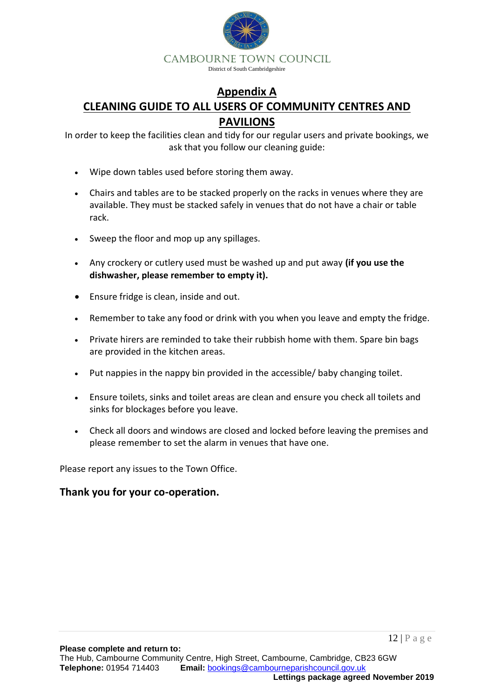

# **Appendix A CLEANING GUIDE TO ALL USERS OF COMMUNITY CENTRES AND PAVILIONS**

In order to keep the facilities clean and tidy for our regular users and private bookings, we ask that you follow our cleaning guide:

- Wipe down tables used before storing them away.
- Chairs and tables are to be stacked properly on the racks in venues where they are available. They must be stacked safely in venues that do not have a chair or table rack.
- Sweep the floor and mop up any spillages.
- Any crockery or cutlery used must be washed up and put away **(if you use the dishwasher, please remember to empty it).**
- Ensure fridge is clean, inside and out.
- Remember to take any food or drink with you when you leave and empty the fridge.
- Private hirers are reminded to take their rubbish home with them. Spare bin bags are provided in the kitchen areas.
- Put nappies in the nappy bin provided in the accessible/ baby changing toilet.
- Ensure toilets, sinks and toilet areas are clean and ensure you check all toilets and sinks for blockages before you leave.
- Check all doors and windows are closed and locked before leaving the premises and please remember to set the alarm in venues that have one.

Please report any issues to the Town Office.

### **Thank you for your co-operation.**